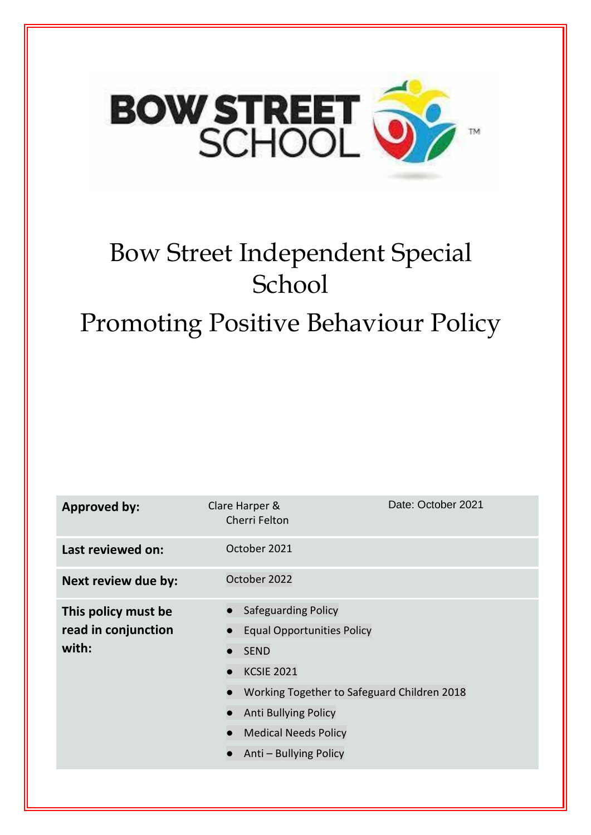

# Bow Street Independent Special School Promoting Positive Behaviour Policy

| <b>Approved by:</b>                                 | Clare Harper &<br>Cherri Felton                                                                                                                                                                                              | Date: October 2021 |
|-----------------------------------------------------|------------------------------------------------------------------------------------------------------------------------------------------------------------------------------------------------------------------------------|--------------------|
| Last reviewed on:                                   | October 2021                                                                                                                                                                                                                 |                    |
| Next review due by:                                 | October 2022                                                                                                                                                                                                                 |                    |
| This policy must be<br>read in conjunction<br>with: | Safeguarding Policy<br><b>Equal Opportunities Policy</b><br><b>SEND</b><br><b>KCSIE 2021</b><br>Working Together to Safeguard Children 2018<br>Anti Bullying Policy<br><b>Medical Needs Policy</b><br>Anti - Bullying Policy |                    |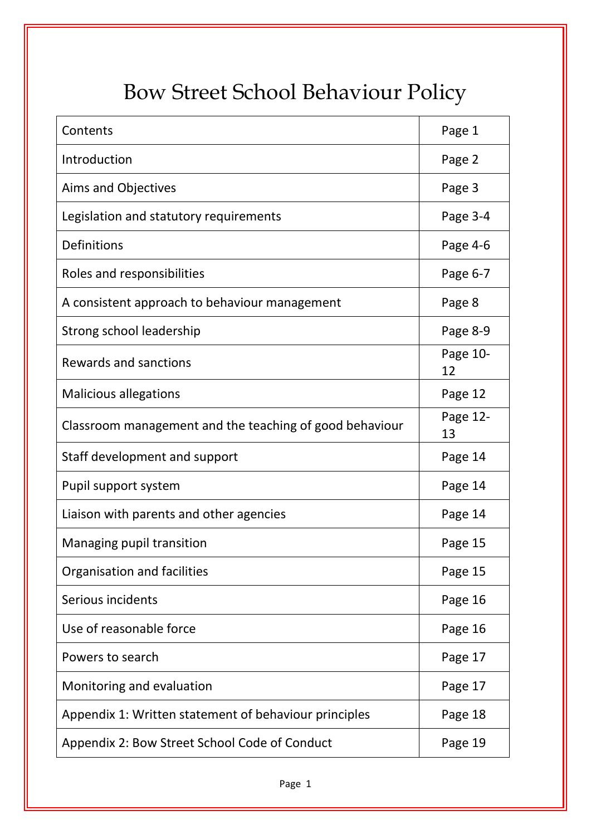# Bow Street School Behaviour Policy

| Contents                                                | Page 1         |
|---------------------------------------------------------|----------------|
| Introduction                                            | Page 2         |
| Aims and Objectives                                     | Page 3         |
| Legislation and statutory requirements                  | Page 3-4       |
| Definitions                                             | Page 4-6       |
| Roles and responsibilities                              | Page 6-7       |
| A consistent approach to behaviour management           | Page 8         |
| Strong school leadership                                | Page 8-9       |
| Rewards and sanctions                                   | Page 10-<br>12 |
| <b>Malicious allegations</b>                            | Page 12        |
| Classroom management and the teaching of good behaviour | Page 12-<br>13 |
| Staff development and support                           | Page 14        |
| Pupil support system                                    | Page 14        |
| Liaison with parents and other agencies                 | Page 14        |
| Managing pupil transition                               | Page 15        |
| Organisation and facilities                             | Page 15        |
| Serious incidents                                       | Page 16        |
| Use of reasonable force                                 | Page 16        |
| Powers to search                                        | Page 17        |
| Monitoring and evaluation                               | Page 17        |
| Appendix 1: Written statement of behaviour principles   | Page 18        |
| Appendix 2: Bow Street School Code of Conduct           | Page 19        |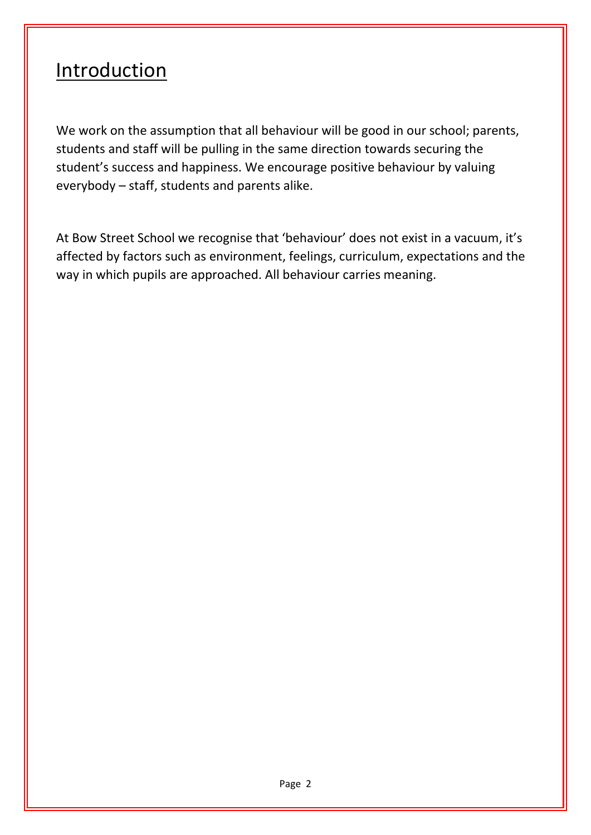#### **Introduction**

We work on the assumption that all behaviour will be good in our school; parents, students and staff will be pulling in the same direction towards securing the student's success and happiness. We encourage positive behaviour by valuing everybody – staff, students and parents alike.

At Bow Street School we recognise that 'behaviour' does not exist in a vacuum, it's affected by factors such as environment, feelings, curriculum, expectations and the way in which pupils are approached. All behaviour carries meaning.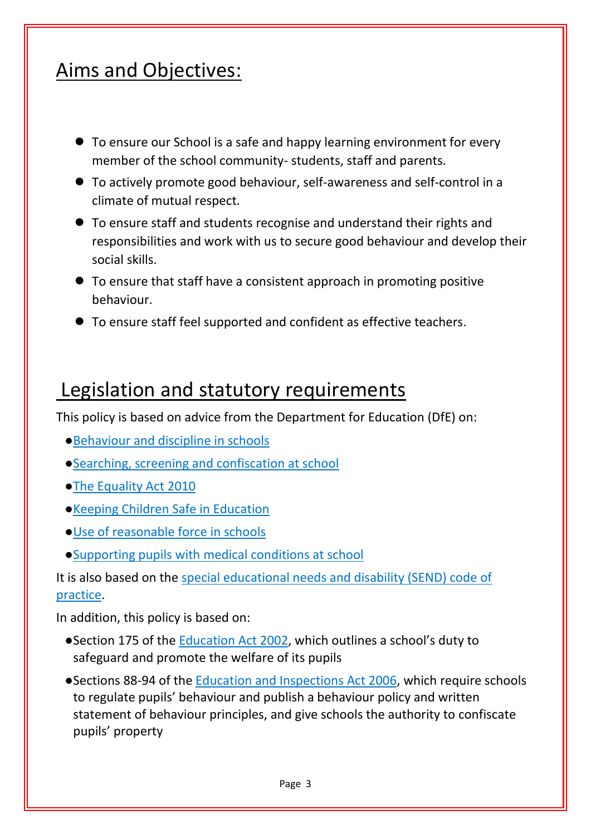#### Aims and Objectives:

- To ensure our School is a safe and happy learning environment for every member of the school community- students, staff and parents.
- To actively promote good behaviour, self-awareness and self-control in a climate of mutual respect.
- To ensure staff and students recognise and understand their rights and responsibilities and work with us to secure good behaviour and develop their social skills.
- To ensure that staff have a consistent approach in promoting positive behaviour.
- To ensure staff feel supported and confident as effective teachers.

#### Legislation and statutory requirements

This policy is based on advice from the Department for Education (DfE) on:

- ●[Behaviour and discipline in schools](https://www.gov.uk/government/publications/behaviour-and-discipline-in-schools)
- ●[Searching, screening and confiscation at school](https://www.gov.uk/government/publications/searching-screening-and-confiscation)
- ●[The Equality Act 2010](https://www.gov.uk/government/publications/equality-act-2010-advice-for-schools)
- ●[Keeping Children Safe in Education](https://www.gov.uk/government/publications/keeping-children-safe-in-education--2)
- ●[Use of reasonable force in schools](https://www.gov.uk/government/publications/use-of-reasonable-force-in-schools)
- ●[Supporting pupils with medical conditions at school](https://www.gov.uk/government/publications/supporting-pupils-at-school-with-medical-conditions--3)

It is also based on the [special educational needs and disability \(SEND\) code of](https://www.gov.uk/government/publications/send-code-of-practice-0-to-25)  [practice.](https://www.gov.uk/government/publications/send-code-of-practice-0-to-25)

In addition, this policy is based on:

- ●Section 175 of the [Education Act 2002,](http://www.legislation.gov.uk/ukpga/2002/32/section/175) which outlines a school's duty to safeguard and promote the welfare of its pupils
- ●Sections 88-94 of the [Education and Inspections Act 2006,](http://www.legislation.gov.uk/ukpga/2006/40/section/88) which require schools to regulate pupils' behaviour and publish a behaviour policy and written statement of behaviour principles, and give schools the authority to confiscate pupils' property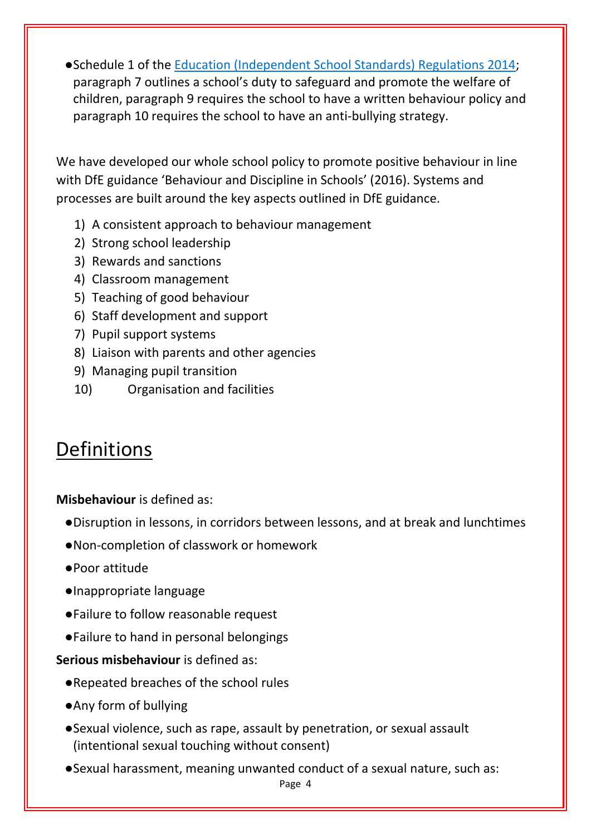●Schedule 1 of the [Education \(Independent School Standards\) Regulations 2014;](http://www.legislation.gov.uk/uksi/2014/3283/schedule/made) paragraph 7 outlines a school's duty to safeguard and promote the welfare of children, paragraph 9 requires the school to have a written behaviour policy and paragraph 10 requires the school to have an anti-bullying strategy.

We have developed our whole school policy to promote positive behaviour in line with DfE guidance 'Behaviour and Discipline in Schools' (2016). Systems and processes are built around the key aspects outlined in DfE guidance.

- 1) A consistent approach to behaviour management
- 2) Strong school leadership
- 3) Rewards and sanctions
- 4) Classroom management
- 5) Teaching of good behaviour
- 6) Staff development and support
- 7) Pupil support systems
- 8) Liaison with parents and other agencies
- 9) Managing pupil transition
- 10) Organisation and facilities

#### Definitions

**Misbehaviour** is defined as:

- ●Disruption in lessons, in corridors between lessons, and at break and lunchtimes
- ●Non-completion of classwork or homework
- ●Poor attitude
- ●Inappropriate language
- ●Failure to follow reasonable request
- ●Failure to hand in personal belongings

**Serious misbehaviour** is defined as:

- ●Repeated breaches of the school rules
- ●Any form of bullying
- ●Sexual violence, such as rape, assault by penetration, or sexual assault (intentional sexual touching without consent)
- ●Sexual harassment, meaning unwanted conduct of a sexual nature, such as: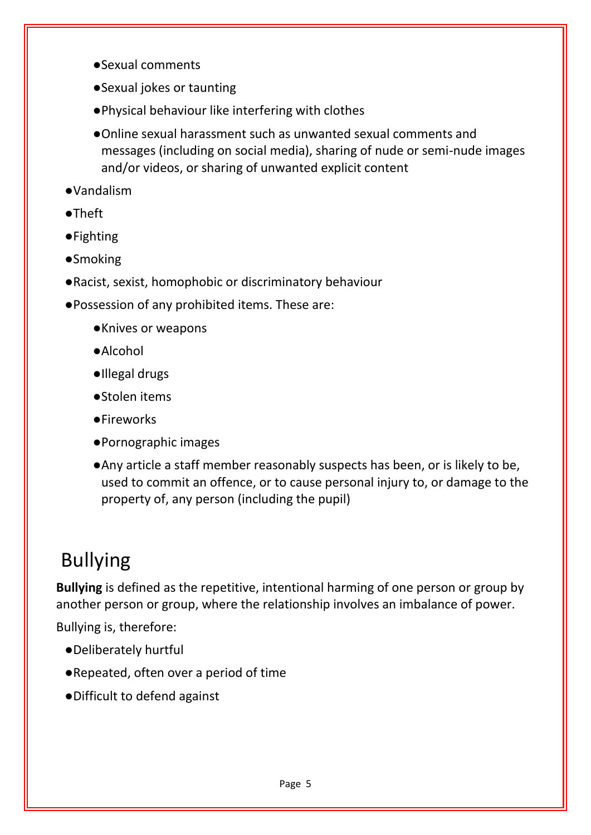- ●Sexual comments
- ●Sexual jokes or taunting
- ●Physical behaviour like interfering with clothes
- ●Online sexual harassment such as unwanted sexual comments and messages (including on social media), sharing of nude or semi-nude images and/or videos, or sharing of unwanted explicit content
- ●Vandalism
- ●Theft
- ●Fighting
- ●Smoking
- ●Racist, sexist, homophobic or discriminatory behaviour
- ●Possession of any prohibited items. These are:
	- ●Knives or weapons
	- ●Alcohol
	- ●Illegal drugs
	- ●Stolen items
	- ●Fireworks
	- ●Pornographic images
	- ●Any article a staff member reasonably suspects has been, or is likely to be, used to commit an offence, or to cause personal injury to, or damage to the property of, any person (including the pupil)

## Bullying

**Bullying** is defined as the repetitive, intentional harming of one person or group by another person or group, where the relationship involves an imbalance of power.

Bullying is, therefore:

- ●Deliberately hurtful
- ●Repeated, often over a period of time
- ●Difficult to defend against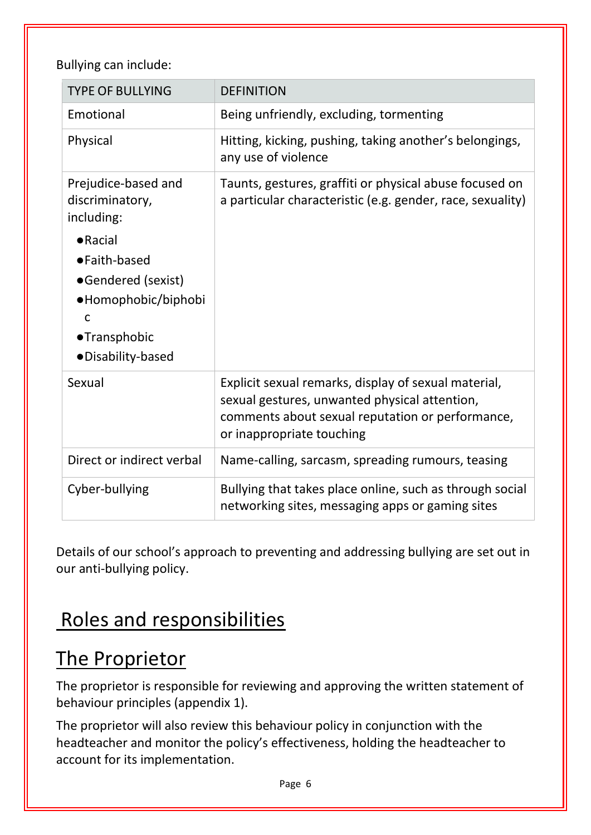Bullying can include:

| <b>TYPE OF BULLYING</b>                                                                                                            | <b>DEFINITION</b>                                                                                                                                                                      |
|------------------------------------------------------------------------------------------------------------------------------------|----------------------------------------------------------------------------------------------------------------------------------------------------------------------------------------|
| Emotional                                                                                                                          | Being unfriendly, excluding, tormenting                                                                                                                                                |
| Physical                                                                                                                           | Hitting, kicking, pushing, taking another's belongings,<br>any use of violence                                                                                                         |
| Prejudice-based and<br>discriminatory,<br>including:                                                                               | Taunts, gestures, graffiti or physical abuse focused on<br>a particular characteristic (e.g. gender, race, sexuality)                                                                  |
| $\bullet$ Racial<br>•Faith-based<br>•Gendered (sexist)<br>•Homophobic/biphobi<br>$\mathsf{C}$<br>•Transphobic<br>·Disability-based |                                                                                                                                                                                        |
| Sexual                                                                                                                             | Explicit sexual remarks, display of sexual material,<br>sexual gestures, unwanted physical attention,<br>comments about sexual reputation or performance,<br>or inappropriate touching |
| Direct or indirect verbal                                                                                                          | Name-calling, sarcasm, spreading rumours, teasing                                                                                                                                      |
| Cyber-bullying                                                                                                                     | Bullying that takes place online, such as through social<br>networking sites, messaging apps or gaming sites                                                                           |

Details of our school's approach to preventing and addressing bullying are set out in our anti-bullying policy.

## Roles and responsibilities

## The Proprietor

The proprietor is responsible for reviewing and approving the written statement of behaviour principles (appendix 1).

The proprietor will also review this behaviour policy in conjunction with the headteacher and monitor the policy's effectiveness, holding the headteacher to account for its implementation.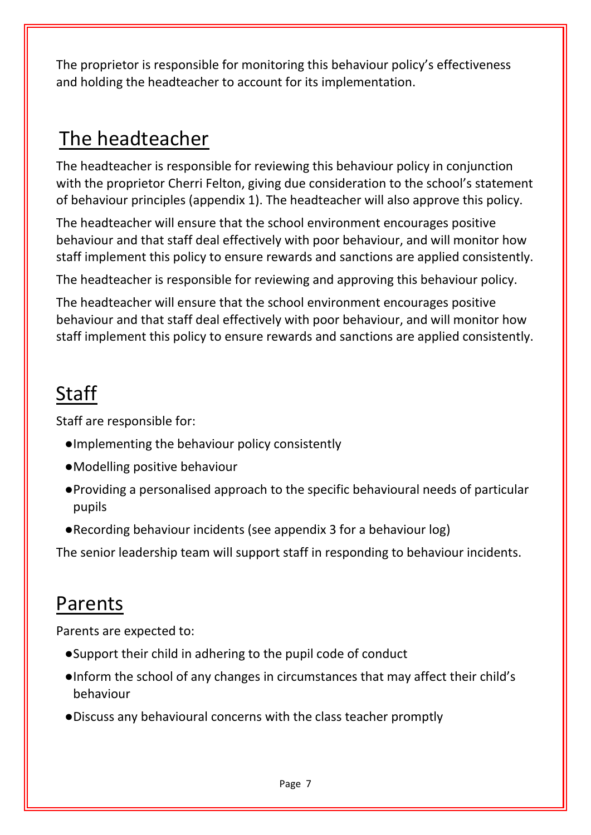The proprietor is responsible for monitoring this behaviour policy's effectiveness and holding the headteacher to account for its implementation.

#### The headteacher

The headteacher is responsible for reviewing this behaviour policy in conjunction with the proprietor Cherri Felton, giving due consideration to the school's statement of behaviour principles (appendix 1). The headteacher will also approve this policy.

The headteacher will ensure that the school environment encourages positive behaviour and that staff deal effectively with poor behaviour, and will monitor how staff implement this policy to ensure rewards and sanctions are applied consistently.

The headteacher is responsible for reviewing and approving this behaviour policy.

The headteacher will ensure that the school environment encourages positive behaviour and that staff deal effectively with poor behaviour, and will monitor how staff implement this policy to ensure rewards and sanctions are applied consistently.

### **Staff**

Staff are responsible for:

- ●Implementing the behaviour policy consistently
- ●Modelling positive behaviour
- ●Providing a personalised approach to the specific behavioural needs of particular pupils
- ●Recording behaviour incidents (see appendix 3 for a behaviour log)

The senior leadership team will support staff in responding to behaviour incidents.

#### Parents

Parents are expected to:

- ●Support their child in adhering to the pupil code of conduct
- ●Inform the school of any changes in circumstances that may affect their child's behaviour
- ●Discuss any behavioural concerns with the class teacher promptly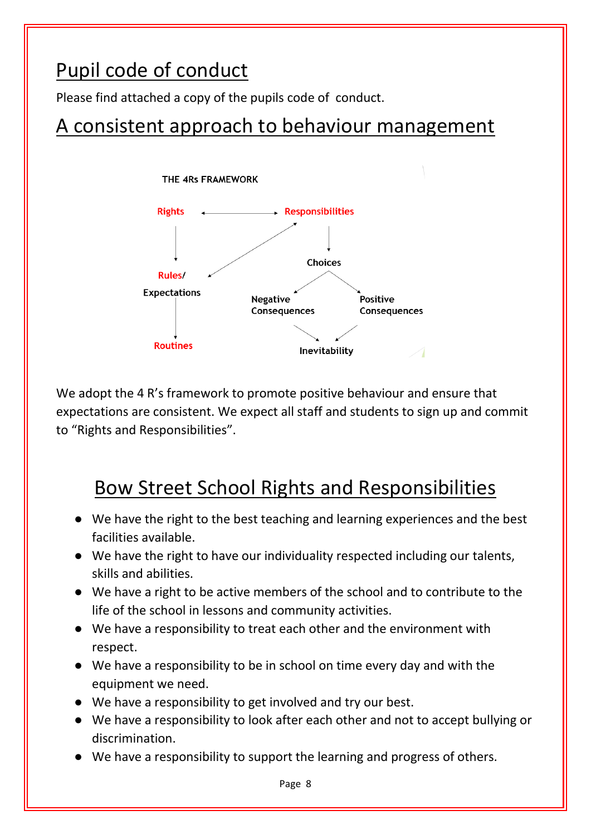#### Pupil code of conduct

Please find attached a copy of the pupils code of conduct.

#### A consistent approach to behaviour management



We adopt the 4 R's framework to promote positive behaviour and ensure that expectations are consistent. We expect all staff and students to sign up and commit to "Rights and Responsibilities".

#### Bow Street School Rights and Responsibilities

- We have the right to the best teaching and learning experiences and the best facilities available.
- We have the right to have our individuality respected including our talents, skills and abilities.
- We have a right to be active members of the school and to contribute to the life of the school in lessons and community activities.
- We have a responsibility to treat each other and the environment with respect.
- We have a responsibility to be in school on time every day and with the equipment we need.
- We have a responsibility to get involved and try our best.
- We have a responsibility to look after each other and not to accept bullying or discrimination.
- We have a responsibility to support the learning and progress of others.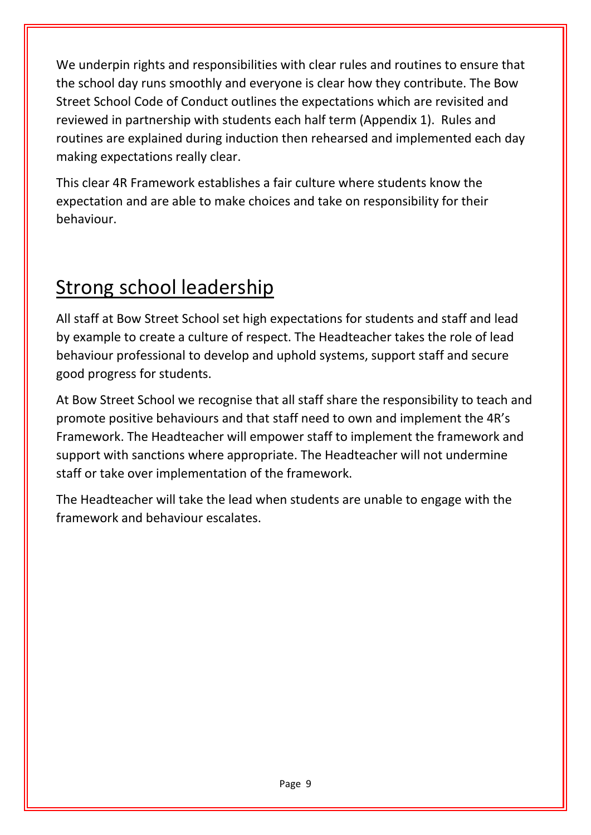We underpin rights and responsibilities with clear rules and routines to ensure that the school day runs smoothly and everyone is clear how they contribute. The Bow Street School Code of Conduct outlines the expectations which are revisited and reviewed in partnership with students each half term (Appendix 1). Rules and routines are explained during induction then rehearsed and implemented each day making expectations really clear.

This clear 4R Framework establishes a fair culture where students know the expectation and are able to make choices and take on responsibility for their behaviour.

## Strong school leadership

All staff at Bow Street School set high expectations for students and staff and lead by example to create a culture of respect. The Headteacher takes the role of lead behaviour professional to develop and uphold systems, support staff and secure good progress for students.

At Bow Street School we recognise that all staff share the responsibility to teach and promote positive behaviours and that staff need to own and implement the 4R's Framework. The Headteacher will empower staff to implement the framework and support with sanctions where appropriate. The Headteacher will not undermine staff or take over implementation of the framework.

The Headteacher will take the lead when students are unable to engage with the framework and behaviour escalates.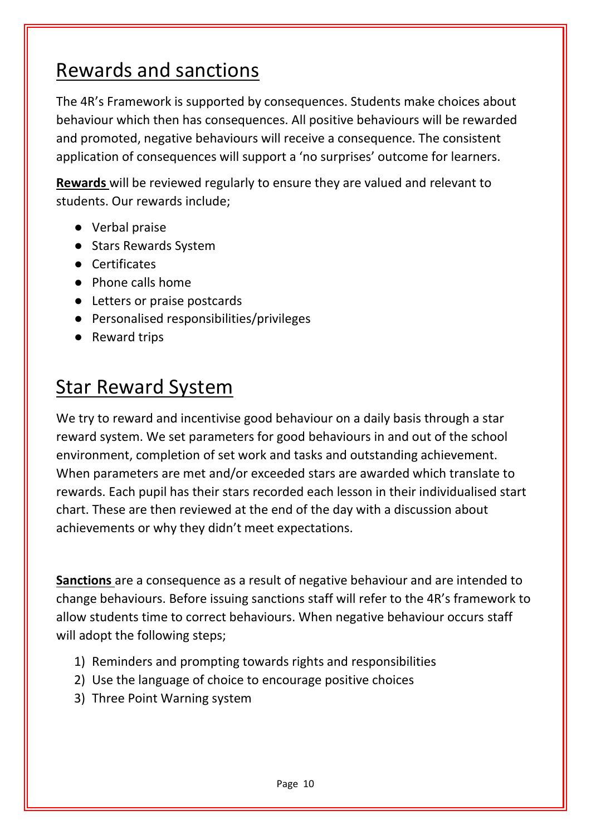#### Rewards and sanctions

The 4R's Framework is supported by consequences. Students make choices about behaviour which then has consequences. All positive behaviours will be rewarded and promoted, negative behaviours will receive a consequence. The consistent application of consequences will support a 'no surprises' outcome for learners.

**Rewards** will be reviewed regularly to ensure they are valued and relevant to students. Our rewards include;

- Verbal praise
- Stars Rewards System
- Certificates
- Phone calls home
- Letters or praise postcards
- Personalised responsibilities/privileges
- Reward trips

#### Star Reward System

We try to reward and incentivise good behaviour on a daily basis through a star reward system. We set parameters for good behaviours in and out of the school environment, completion of set work and tasks and outstanding achievement. When parameters are met and/or exceeded stars are awarded which translate to rewards. Each pupil has their stars recorded each lesson in their individualised start chart. These are then reviewed at the end of the day with a discussion about achievements or why they didn't meet expectations.

**Sanctions** are a consequence as a result of negative behaviour and are intended to change behaviours. Before issuing sanctions staff will refer to the 4R's framework to allow students time to correct behaviours. When negative behaviour occurs staff will adopt the following steps;

- 1) Reminders and prompting towards rights and responsibilities
- 2) Use the language of choice to encourage positive choices
- 3) Three Point Warning system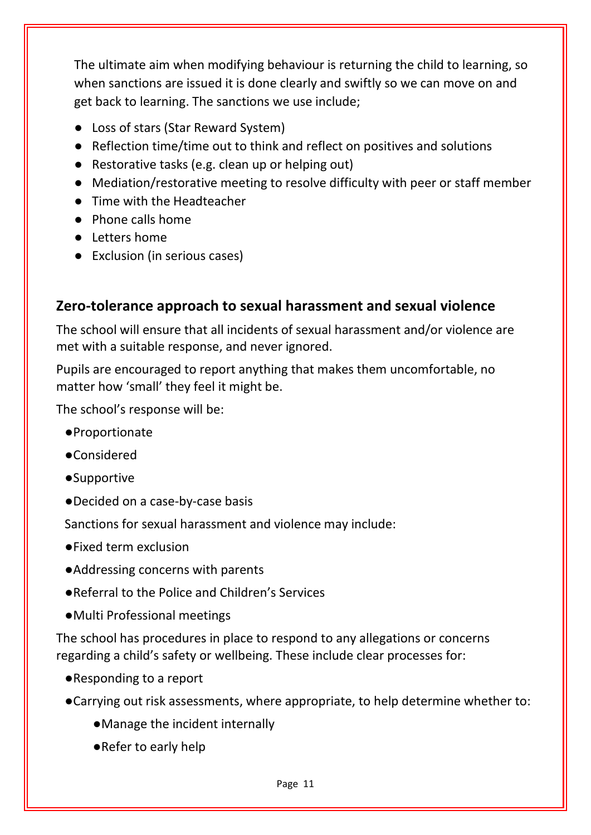The ultimate aim when modifying behaviour is returning the child to learning, so when sanctions are issued it is done clearly and swiftly so we can move on and get back to learning. The sanctions we use include;

- Loss of stars (Star Reward System)
- Reflection time/time out to think and reflect on positives and solutions
- Restorative tasks (e.g. clean up or helping out)
- Mediation/restorative meeting to resolve difficulty with peer or staff member
- Time with the Headteacher
- Phone calls home
- Letters home
- Exclusion (in serious cases)

#### **Zero-tolerance approach to sexual harassment and sexual violence**

The school will ensure that all incidents of sexual harassment and/or violence are met with a suitable response, and never ignored.

Pupils are encouraged to report anything that makes them uncomfortable, no matter how 'small' they feel it might be.

The school's response will be:

- ●Proportionate
- ●Considered
- ●Supportive
- ●Decided on a case-by-case basis

Sanctions for sexual harassment and violence may include:

- ●Fixed term exclusion
- ●Addressing concerns with parents
- ●Referral to the Police and Children's Services
- ●Multi Professional meetings

The school has procedures in place to respond to any allegations or concerns regarding a child's safety or wellbeing. These include clear processes for:

- ●Responding to a report
- ●Carrying out risk assessments, where appropriate, to help determine whether to:
	- ●Manage the incident internally
	- ●Refer to early help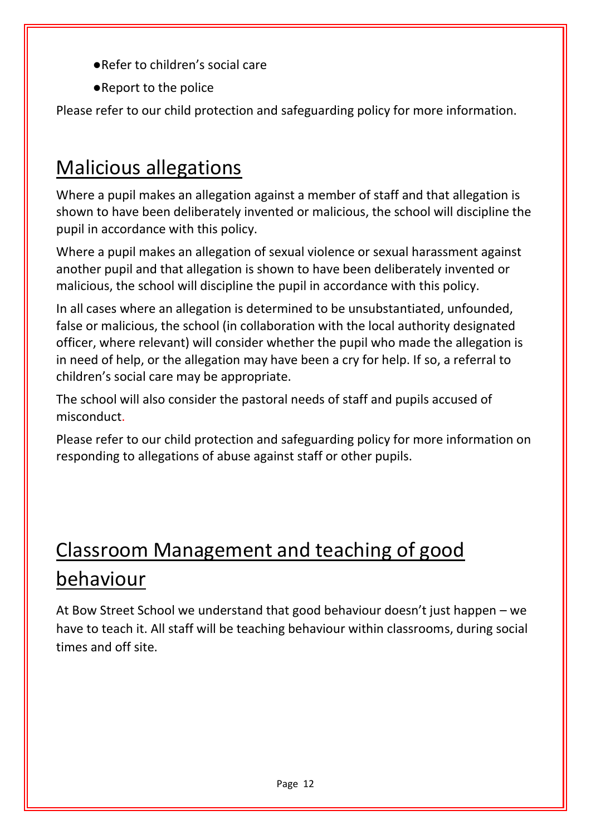- ●Refer to children's social care
- ●Report to the police

Please refer to our child protection and safeguarding policy for more information.

#### Malicious allegations

Where a pupil makes an allegation against a member of staff and that allegation is shown to have been deliberately invented or malicious, the school will discipline the pupil in accordance with this policy.

Where a pupil makes an allegation of sexual violence or sexual harassment against another pupil and that allegation is shown to have been deliberately invented or malicious, the school will discipline the pupil in accordance with this policy.

In all cases where an allegation is determined to be unsubstantiated, unfounded, false or malicious, the school (in collaboration with the local authority designated officer, where relevant) will consider whether the pupil who made the allegation is in need of help, or the allegation may have been a cry for help. If so, a referral to children's social care may be appropriate.

The school will also consider the pastoral needs of staff and pupils accused of misconduct.

Please refer to our child protection and safeguarding policy for more information on responding to allegations of abuse against staff or other pupils.

## Classroom Management and teaching of good behaviour

At Bow Street School we understand that good behaviour doesn't just happen – we have to teach it. All staff will be teaching behaviour within classrooms, during social times and off site.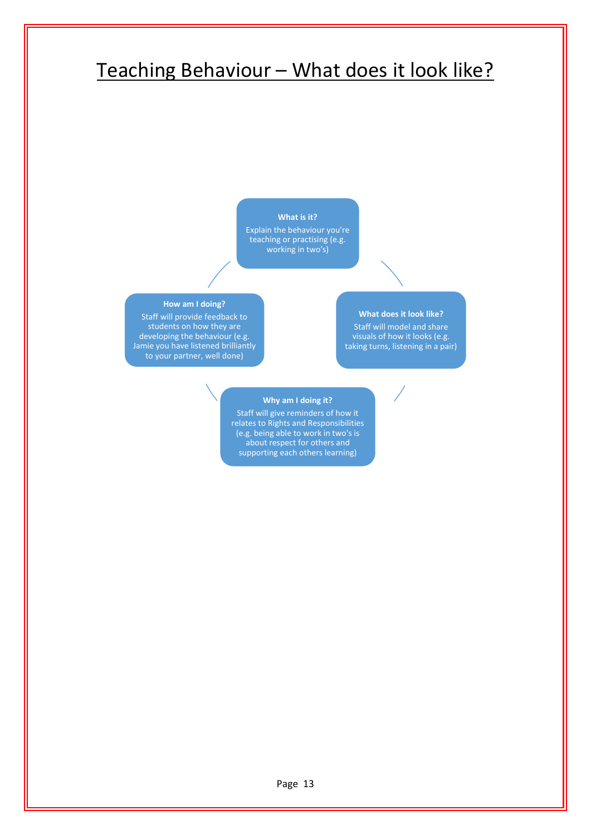#### Teaching Behaviour – What does it look like?

#### **What is it?**

Explain the behaviour you're teaching or practising (e.g. working in two's)

#### **How am I doing?**

Staff will provide feedback to students on how they are developing the behaviour (e.g. Jamie you have listened brilliantly to your partner, well done)

#### **What does it look like?**

Staff will model and share visuals of how it looks (e.g. taking turns, listening in a pair)

#### **Why am I doing it?**

Staff will give reminders of how it relates to Rights and Responsibilities (e.g. being able to work in two's is about respect for others and supporting each others learning)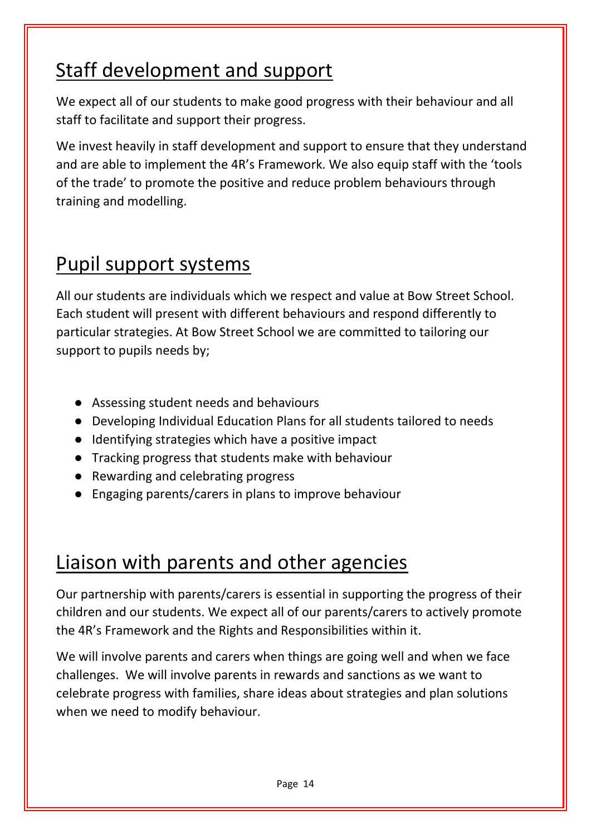## Staff development and support

We expect all of our students to make good progress with their behaviour and all staff to facilitate and support their progress.

We invest heavily in staff development and support to ensure that they understand and are able to implement the 4R's Framework. We also equip staff with the 'tools of the trade' to promote the positive and reduce problem behaviours through training and modelling.

#### Pupil support systems

All our students are individuals which we respect and value at Bow Street School. Each student will present with different behaviours and respond differently to particular strategies. At Bow Street School we are committed to tailoring our support to pupils needs by;

- Assessing student needs and behaviours
- Developing Individual Education Plans for all students tailored to needs
- Identifying strategies which have a positive impact
- Tracking progress that students make with behaviour
- Rewarding and celebrating progress
- Engaging parents/carers in plans to improve behaviour

#### Liaison with parents and other agencies

Our partnership with parents/carers is essential in supporting the progress of their children and our students. We expect all of our parents/carers to actively promote the 4R's Framework and the Rights and Responsibilities within it.

We will involve parents and carers when things are going well and when we face challenges. We will involve parents in rewards and sanctions as we want to celebrate progress with families, share ideas about strategies and plan solutions when we need to modify behaviour.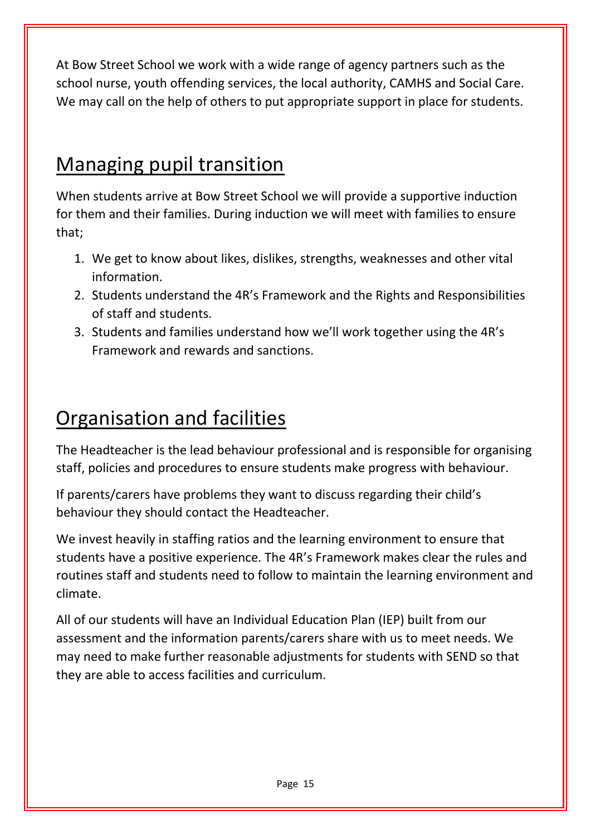At Bow Street School we work with a wide range of agency partners such as the school nurse, youth offending services, the local authority, CAMHS and Social Care. We may call on the help of others to put appropriate support in place for students.

#### Managing pupil transition

When students arrive at Bow Street School we will provide a supportive induction for them and their families. During induction we will meet with families to ensure that;

- 1. We get to know about likes, dislikes, strengths, weaknesses and other vital information.
- 2. Students understand the 4R's Framework and the Rights and Responsibilities of staff and students.
- 3. Students and families understand how we'll work together using the 4R's Framework and rewards and sanctions.

### Organisation and facilities

The Headteacher is the lead behaviour professional and is responsible for organising staff, policies and procedures to ensure students make progress with behaviour.

If parents/carers have problems they want to discuss regarding their child's behaviour they should contact the Headteacher.

We invest heavily in staffing ratios and the learning environment to ensure that students have a positive experience. The 4R's Framework makes clear the rules and routines staff and students need to follow to maintain the learning environment and climate.

All of our students will have an Individual Education Plan (IEP) built from our assessment and the information parents/carers share with us to meet needs. We may need to make further reasonable adjustments for students with SEND so that they are able to access facilities and curriculum.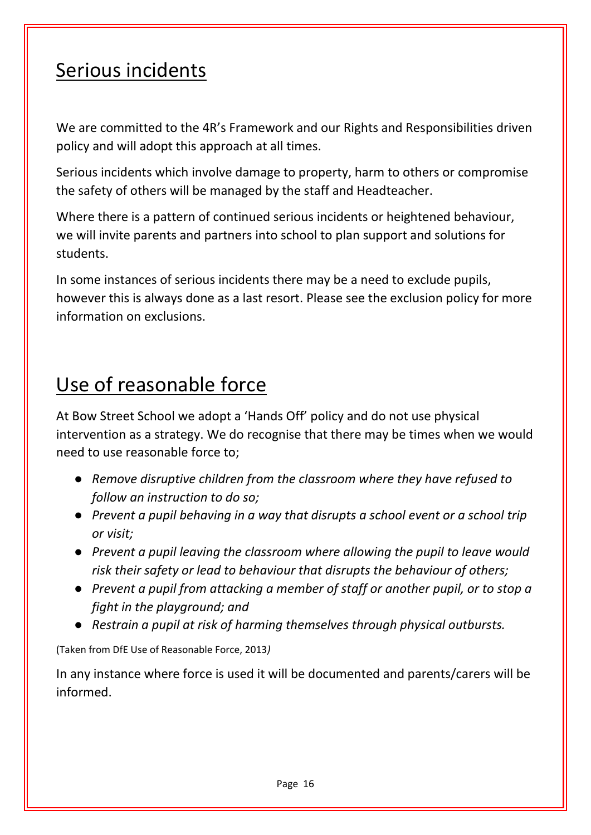#### Serious incidents

We are committed to the 4R's Framework and our Rights and Responsibilities driven policy and will adopt this approach at all times.

Serious incidents which involve damage to property, harm to others or compromise the safety of others will be managed by the staff and Headteacher.

Where there is a pattern of continued serious incidents or heightened behaviour, we will invite parents and partners into school to plan support and solutions for students.

In some instances of serious incidents there may be a need to exclude pupils, however this is always done as a last resort. Please see the exclusion policy for more information on exclusions.

#### Use of reasonable force

At Bow Street School we adopt a 'Hands Off' policy and do not use physical intervention as a strategy. We do recognise that there may be times when we would need to use reasonable force to;

- *Remove disruptive children from the classroom where they have refused to follow an instruction to do so;*
- *Prevent a pupil behaving in a way that disrupts a school event or a school trip or visit;*
- *Prevent a pupil leaving the classroom where allowing the pupil to leave would risk their safety or lead to behaviour that disrupts the behaviour of others;*
- *Prevent a pupil from attacking a member of staff or another pupil, or to stop a fight in the playground; and*
- *Restrain a pupil at risk of harming themselves through physical outbursts.*

(Taken from DfE Use of Reasonable Force, 2013*)*

In any instance where force is used it will be documented and parents/carers will be informed.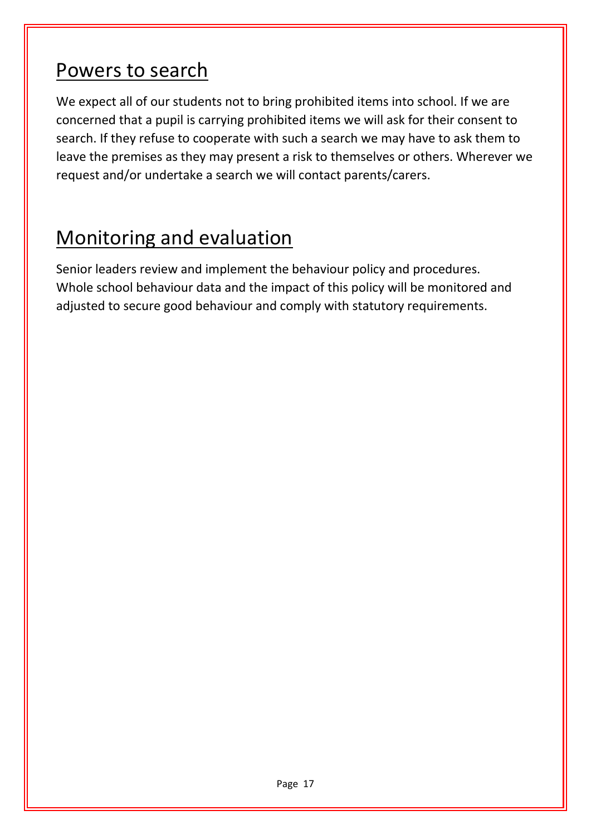#### Powers to search

We expect all of our students not to bring prohibited items into school. If we are concerned that a pupil is carrying prohibited items we will ask for their consent to search. If they refuse to cooperate with such a search we may have to ask them to leave the premises as they may present a risk to themselves or others. Wherever we request and/or undertake a search we will contact parents/carers.

#### Monitoring and evaluation

Senior leaders review and implement the behaviour policy and procedures. Whole school behaviour data and the impact of this policy will be monitored and adjusted to secure good behaviour and comply with statutory requirements.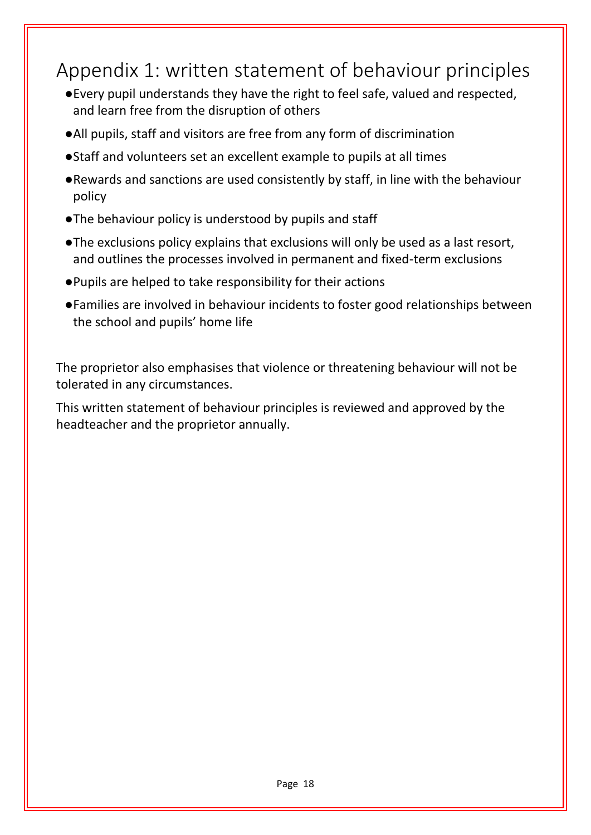#### Appendix 1: written statement of behaviour principles

- ●Every pupil understands they have the right to feel safe, valued and respected, and learn free from the disruption of others
- ●All pupils, staff and visitors are free from any form of discrimination
- ●Staff and volunteers set an excellent example to pupils at all times
- ●Rewards and sanctions are used consistently by staff, in line with the behaviour policy
- ●The behaviour policy is understood by pupils and staff
- ●The exclusions policy explains that exclusions will only be used as a last resort, and outlines the processes involved in permanent and fixed-term exclusions
- ●Pupils are helped to take responsibility for their actions
- ●Families are involved in behaviour incidents to foster good relationships between the school and pupils' home life

The proprietor also emphasises that violence or threatening behaviour will not be tolerated in any circumstances.

This written statement of behaviour principles is reviewed and approved by the headteacher and the proprietor annually.